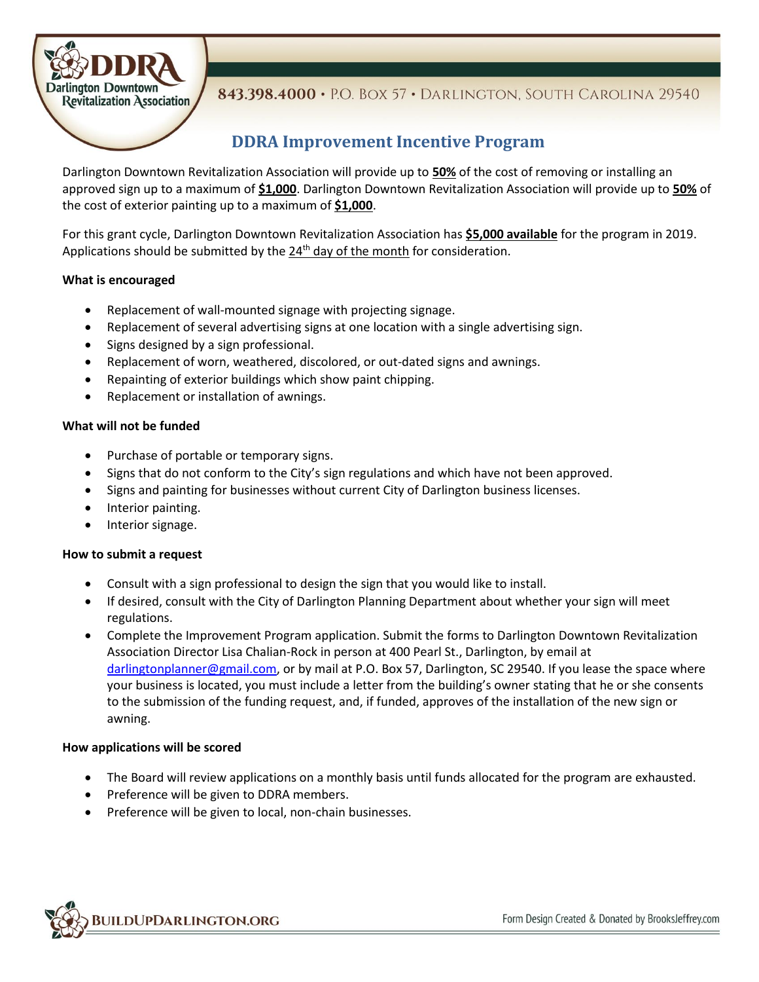

### 843.398.4000 · P.O. BOX 57 · DARLINGTON, SOUTH CAROLINA 29540

## **DDRA Improvement Incentive Program**

Darlington Downtown Revitalization Association will provide up to **50%** of the cost of removing or installing an approved sign up to a maximum of **\$1,000**. Darlington Downtown Revitalization Association will provide up to **50%** of the cost of exterior painting up to a maximum of **\$1,000**.

For this grant cycle, Darlington Downtown Revitalization Association has **\$5,000 available** for the program in 2019. Applications should be submitted by the 24<sup>th</sup> day of the month for consideration.

#### **What is encouraged**

- Replacement of wall-mounted signage with projecting signage.
- Replacement of several advertising signs at one location with a single advertising sign.
- Signs designed by a sign professional.
- Replacement of worn, weathered, discolored, or out-dated signs and awnings.
- Repainting of exterior buildings which show paint chipping.
- Replacement or installation of awnings.

#### **What will not be funded**

- Purchase of portable or temporary signs.
- Signs that do not conform to the City's sign regulations and which have not been approved.
- Signs and painting for businesses without current City of Darlington business licenses.
- Interior painting.
- Interior signage.

#### **How to submit a request**

- Consult with a sign professional to design the sign that you would like to install.
- If desired, consult with the City of Darlington Planning Department about whether your sign will meet regulations.
- Complete the Improvement Program application. Submit the forms to Darlington Downtown Revitalization Association Director Lisa Chalian-Rock in person at 400 Pearl St., Darlington, by email at [darlingtonplanner@gmail.com,](mailto:darlingtonplanner@gmail.com) or by mail at P.O. Box 57, Darlington, SC 29540. If you lease the space where your business is located, you must include a letter from the building's owner stating that he or she consents to the submission of the funding request, and, if funded, approves of the installation of the new sign or awning.

#### **How applications will be scored**

- The Board will review applications on a monthly basis until funds allocated for the program are exhausted.
- Preference will be given to DDRA members.
- Preference will be given to local, non-chain businesses.

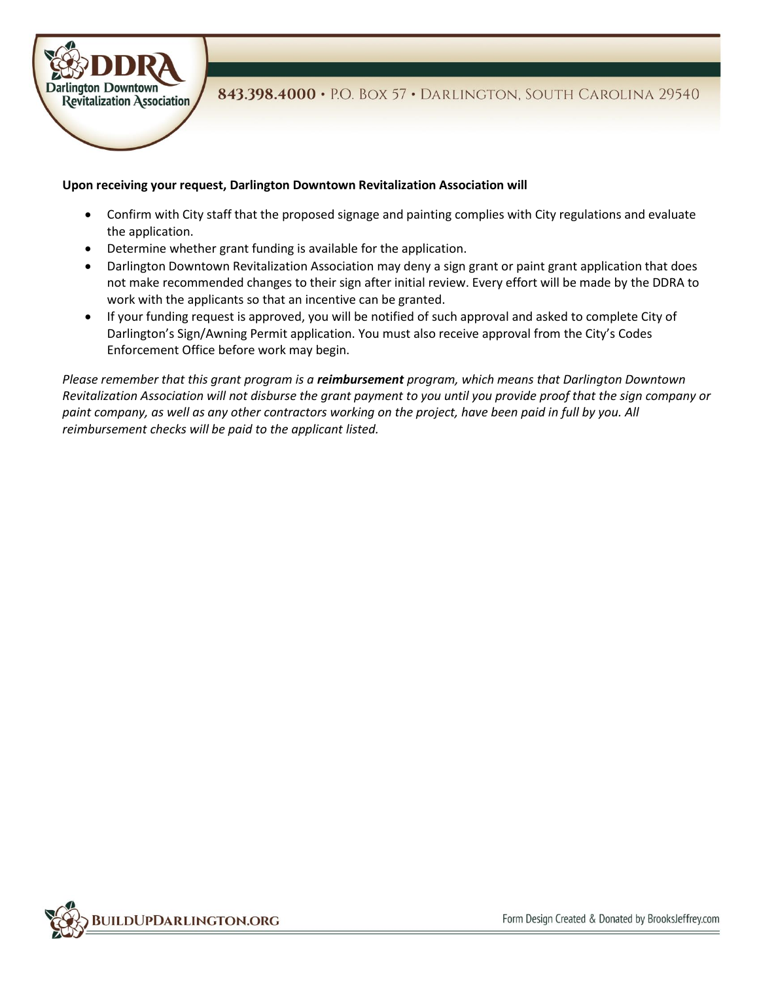

#### **Upon receiving your request, Darlington Downtown Revitalization Association will**

- Confirm with City staff that the proposed signage and painting complies with City regulations and evaluate the application.
- Determine whether grant funding is available for the application.
- Darlington Downtown Revitalization Association may deny a sign grant or paint grant application that does not make recommended changes to their sign after initial review. Every effort will be made by the DDRA to work with the applicants so that an incentive can be granted.
- If your funding request is approved, you will be notified of such approval and asked to complete City of Darlington's Sign/Awning Permit application. You must also receive approval from the City's Codes Enforcement Office before work may begin.

*Please remember that this grant program is a reimbursement program, which means that Darlington Downtown Revitalization Association will not disburse the grant payment to you until you provide proof that the sign company or paint company, as well as any other contractors working on the project, have been paid in full by you. All reimbursement checks will be paid to the applicant listed.*